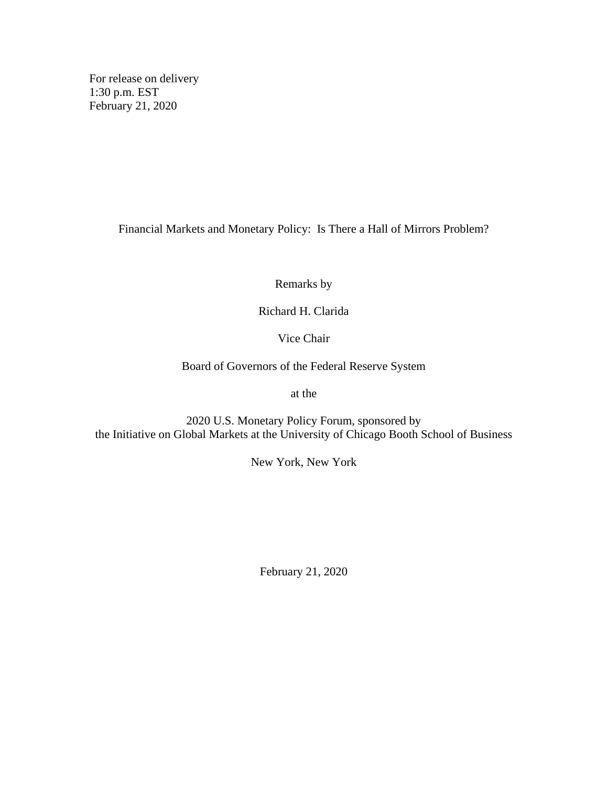For release on delivery 1:30 p.m. EST February 21, 2020

Financial Markets and Monetary Policy: Is There a Hall of Mirrors Problem?

Remarks by

Richard H. Clarida

Vice Chair

Board of Governors of the Federal Reserve System

at the

2020 U.S. Monetary Policy Forum, sponsored by the Initiative on Global Markets at the University of Chicago Booth School of Business

New York, New York

February 21, 2020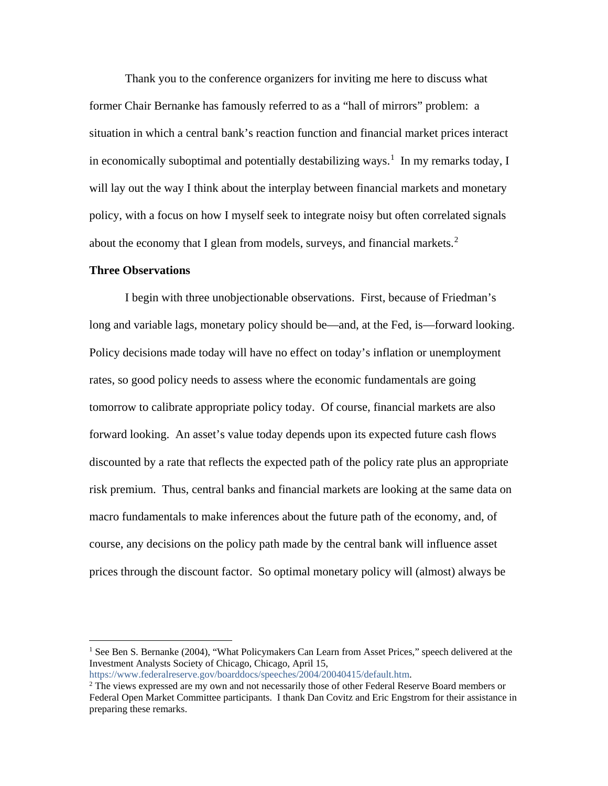Thank you to the conference organizers for inviting me here to discuss what former Chair Bernanke has famously referred to as a "hall of mirrors" problem: a situation in which a central bank's reaction function and financial market prices interact in economically suboptimal and potentially destabilizing ways.<sup>[1](#page-1-0)</sup> In my remarks today, I will lay out the way I think about the interplay between financial markets and monetary policy, with a focus on how I myself seek to integrate noisy but often correlated signals about the economy that I glean from models, surveys, and financial markets.<sup>[2](#page-1-1)</sup>

## **Three Observations**

I begin with three unobjectionable observations. First, because of Friedman's long and variable lags, monetary policy should be—and, at the Fed, is—forward looking. Policy decisions made today will have no effect on today's inflation or unemployment rates, so good policy needs to assess where the economic fundamentals are going tomorrow to calibrate appropriate policy today. Of course, financial markets are also forward looking. An asset's value today depends upon its expected future cash flows discounted by a rate that reflects the expected path of the policy rate plus an appropriate risk premium. Thus, central banks and financial markets are looking at the same data on macro fundamentals to make inferences about the future path of the economy, and, of course, any decisions on the policy path made by the central bank will influence asset prices through the discount factor. So optimal monetary policy will (almost) always be

<span id="page-1-0"></span><sup>&</sup>lt;sup>1</sup> See Ben S. Bernanke (2004), "What Policymakers Can Learn from Asset Prices," speech delivered at the Investment Analysts Society of Chicago, Chicago, April 15, [https://www.federalreserve.gov/boarddocs/speeches/2004/20040415/default.htm.](https://www.federalreserve.gov/boarddocs/speeches/2004/20040415/default.htm)

<span id="page-1-1"></span> $2$  The views expressed are my own and not necessarily those of other Federal Reserve Board members or

Federal Open Market Committee participants. I thank Dan Covitz and Eric Engstrom for their assistance in preparing these remarks.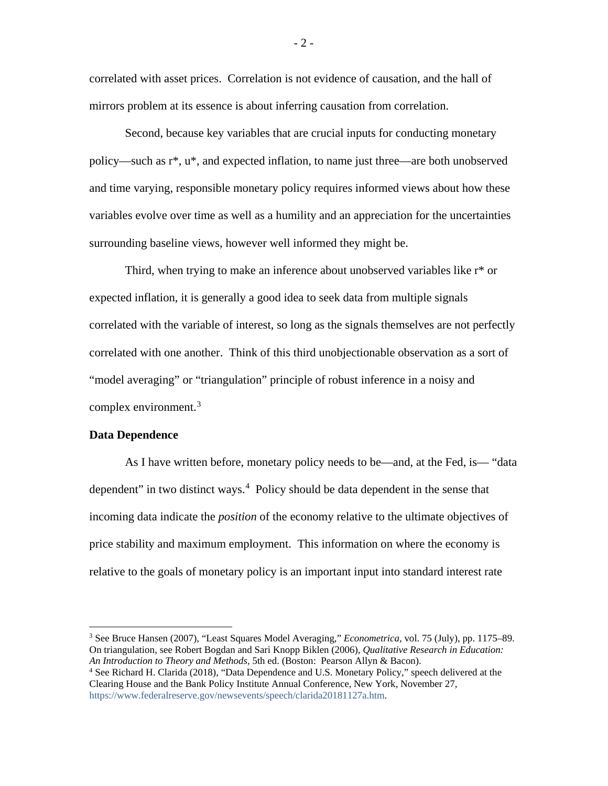correlated with asset prices. Correlation is not evidence of causation, and the hall of mirrors problem at its essence is about inferring causation from correlation.

Second, because key variables that are crucial inputs for conducting monetary policy—such as r\*, u\*, and expected inflation, to name just three—are both unobserved and time varying, responsible monetary policy requires informed views about how these variables evolve over time as well as a humility and an appreciation for the uncertainties surrounding baseline views, however well informed they might be.

Third, when trying to make an inference about unobserved variables like r\* or expected inflation, it is generally a good idea to seek data from multiple signals correlated with the variable of interest, so long as the signals themselves are not perfectly correlated with one another. Think of this third unobjectionable observation as a sort of "model averaging" or "triangulation" principle of robust inference in a noisy and complex environment.[3](#page-2-0)

## **Data Dependence**

As I have written before, monetary policy needs to be—and, at the Fed, is— "data dependent" in two distinct ways.<sup>[4](#page-2-1)</sup> Policy should be data dependent in the sense that incoming data indicate the *position* of the economy relative to the ultimate objectives of price stability and maximum employment. This information on where the economy is relative to the goals of monetary policy is an important input into standard interest rate

<span id="page-2-0"></span> 3 See Bruce Hansen (2007), "Least Squares Model Averaging," *Econometrica,* vol. 75 (July), pp. 1175–89. On triangulation, see Robert Bogdan and Sari Knopp Biklen (2006), *Qualitative Research in Education: An Introduction to Theory and Methods,* 5th ed. (Boston: Pearson Allyn & Bacon).

<span id="page-2-1"></span><sup>4</sup> See Richard H. Clarida (2018), "Data Dependence and U.S. Monetary Policy," speech delivered at the Clearing House and the Bank Policy Institute Annual Conference, New York, November 27, [https://www.federalreserve.gov/newsevents/speech/clarida20181127a.htm.](https://www.federalreserve.gov/newsevents/speech/clarida20181127a.htm)

 $-2-$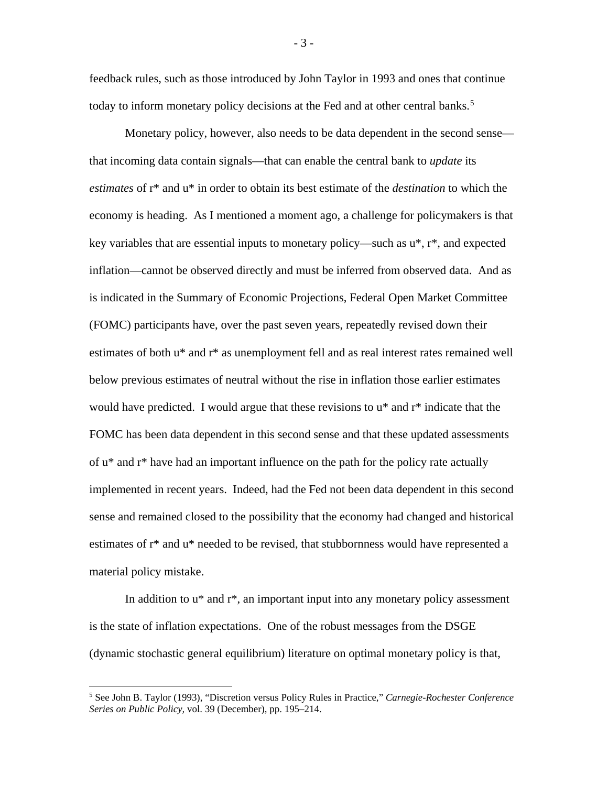feedback rules, such as those introduced by John Taylor in 1993 and ones that continue today to inform monetary policy decisions at the Fed and at other central banks. [5](#page-3-0)

Monetary policy, however, also needs to be data dependent in the second sense that incoming data contain signals—that can enable the central bank to *update* its *estimates* of r\* and u\* in order to obtain its best estimate of the *destination* to which the economy is heading. As I mentioned a moment ago, a challenge for policymakers is that key variables that are essential inputs to monetary policy—such as  $u^*$ ,  $r^*$ , and expected inflation—cannot be observed directly and must be inferred from observed data. And as is indicated in the Summary of Economic Projections, Federal Open Market Committee (FOMC) participants have, over the past seven years, repeatedly revised down their estimates of both u\* and r\* as unemployment fell and as real interest rates remained well below previous estimates of neutral without the rise in inflation those earlier estimates would have predicted. I would argue that these revisions to u\* and r\* indicate that the FOMC has been data dependent in this second sense and that these updated assessments of u\* and r\* have had an important influence on the path for the policy rate actually implemented in recent years. Indeed, had the Fed not been data dependent in this second sense and remained closed to the possibility that the economy had changed and historical estimates of r\* and u\* needed to be revised, that stubbornness would have represented a material policy mistake.

In addition to  $u^*$  and  $r^*$ , an important input into any monetary policy assessment is the state of inflation expectations. One of the robust messages from the DSGE (dynamic stochastic general equilibrium) literature on optimal monetary policy is that,

- 3 -

<span id="page-3-0"></span> <sup>5</sup> See John B. Taylor (1993), "Discretion versus Policy Rules in Practice," *Carnegie-Rochester Conference Series on Public Policy,* vol. 39 (December), pp. 195–214.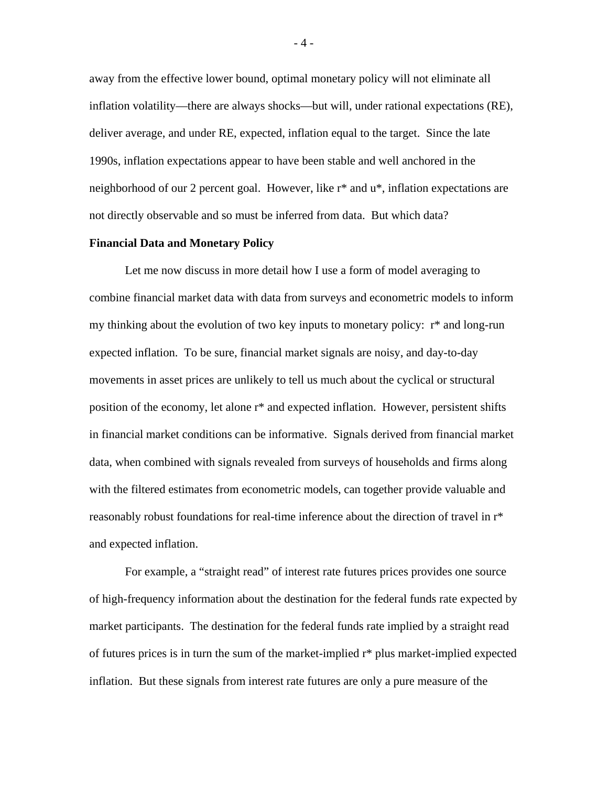away from the effective lower bound, optimal monetary policy will not eliminate all inflation volatility—there are always shocks—but will, under rational expectations (RE), deliver average, and under RE, expected, inflation equal to the target. Since the late 1990s, inflation expectations appear to have been stable and well anchored in the neighborhood of our 2 percent goal. However, like r\* and u\*, inflation expectations are not directly observable and so must be inferred from data. But which data?

## **Financial Data and Monetary Policy**

Let me now discuss in more detail how I use a form of model averaging to combine financial market data with data from surveys and econometric models to inform my thinking about the evolution of two key inputs to monetary policy: r\* and long-run expected inflation. To be sure, financial market signals are noisy, and day-to-day movements in asset prices are unlikely to tell us much about the cyclical or structural position of the economy, let alone r\* and expected inflation. However, persistent shifts in financial market conditions can be informative. Signals derived from financial market data, when combined with signals revealed from surveys of households and firms along with the filtered estimates from econometric models, can together provide valuable and reasonably robust foundations for real-time inference about the direction of travel in r\* and expected inflation.

For example, a "straight read" of interest rate futures prices provides one source of high-frequency information about the destination for the federal funds rate expected by market participants. The destination for the federal funds rate implied by a straight read of futures prices is in turn the sum of the market-implied r\* plus market-implied expected inflation. But these signals from interest rate futures are only a pure measure of the

- 4 -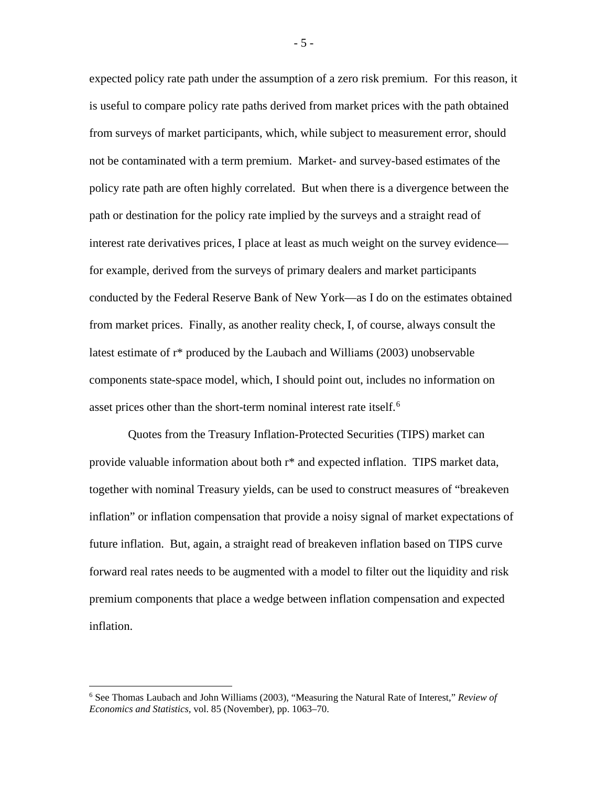expected policy rate path under the assumption of a zero risk premium. For this reason, it is useful to compare policy rate paths derived from market prices with the path obtained from surveys of market participants, which, while subject to measurement error, should not be contaminated with a term premium. Market- and survey-based estimates of the policy rate path are often highly correlated. But when there is a divergence between the path or destination for the policy rate implied by the surveys and a straight read of interest rate derivatives prices, I place at least as much weight on the survey evidence for example, derived from the surveys of primary dealers and market participants conducted by the Federal Reserve Bank of New York—as I do on the estimates obtained from market prices. Finally, as another reality check, I, of course, always consult the latest estimate of r\* produced by the Laubach and Williams (2003) unobservable components state-space model, which, I should point out, includes no information on asset prices other than the short-term nominal interest rate itself.<sup>[6](#page-5-0)</sup>

Quotes from the Treasury Inflation-Protected Securities (TIPS) market can provide valuable information about both r\* and expected inflation. TIPS market data, together with nominal Treasury yields, can be used to construct measures of "breakeven inflation" or inflation compensation that provide a noisy signal of market expectations of future inflation. But, again, a straight read of breakeven inflation based on TIPS curve forward real rates needs to be augmented with a model to filter out the liquidity and risk premium components that place a wedge between inflation compensation and expected inflation.

- 5 -

<span id="page-5-0"></span> <sup>6</sup> See Thomas Laubach and John Williams (2003), "Measuring the Natural Rate of Interest," *Review of Economics and Statistics,* vol. 85 (November), pp. 1063–70.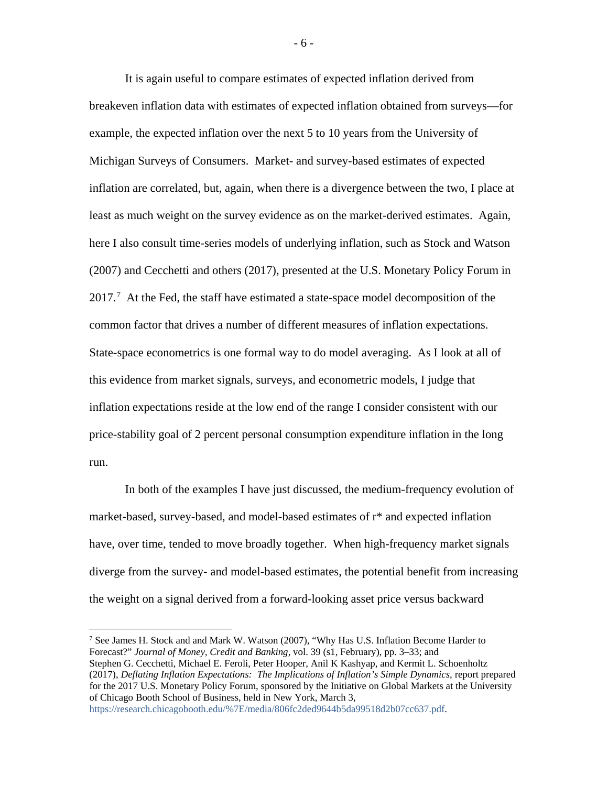It is again useful to compare estimates of expected inflation derived from breakeven inflation data with estimates of expected inflation obtained from surveys—for example, the expected inflation over the next 5 to 10 years from the University of Michigan Surveys of Consumers. Market- and survey-based estimates of expected inflation are correlated, but, again, when there is a divergence between the two, I place at least as much weight on the survey evidence as on the market-derived estimates. Again, here I also consult time-series models of underlying inflation, such as Stock and Watson (2007) and Cecchetti and others (2017), presented at the U.S. Monetary Policy Forum in  $2017<sup>7</sup>$  $2017<sup>7</sup>$  $2017<sup>7</sup>$  At the Fed, the staff have estimated a state-space model decomposition of the common factor that drives a number of different measures of inflation expectations. State-space econometrics is one formal way to do model averaging. As I look at all of this evidence from market signals, surveys, and econometric models, I judge that inflation expectations reside at the low end of the range I consider consistent with our price-stability goal of 2 percent personal consumption expenditure inflation in the long run.

In both of the examples I have just discussed, the medium-frequency evolution of market-based, survey-based, and model-based estimates of r\* and expected inflation have, over time, tended to move broadly together. When high-frequency market signals diverge from the survey- and model-based estimates, the potential benefit from increasing the weight on a signal derived from a forward-looking asset price versus backward

<span id="page-6-0"></span><sup>7</sup> See James H. Stock and and Mark W. Watson (2007), "Why Has U.S. Inflation Become Harder to Forecast?" *Journal of Money, Credit and Banking,* vol. 39 (s1, February), pp. 3–33; and Stephen G. Cecchetti, Michael E. Feroli, Peter Hooper, Anil K Kashyap, and Kermit L. Schoenholtz (2017), *Deflating Inflation Expectations: The Implications of Inflation's Simple Dynamics,* report prepared for the 2017 U.S. Monetary Policy Forum, sponsored by the Initiative on Global Markets at the University of Chicago Booth School of Business, held in New York, March 3, [https://research.chicagobooth.edu/%7E/media/806fc2ded9644b5da99518d2b07cc637.pdf.](https://research.chicagobooth.edu/%7E/media/806fc2ded9644b5da99518d2b07cc637.pdf)

- 6 -